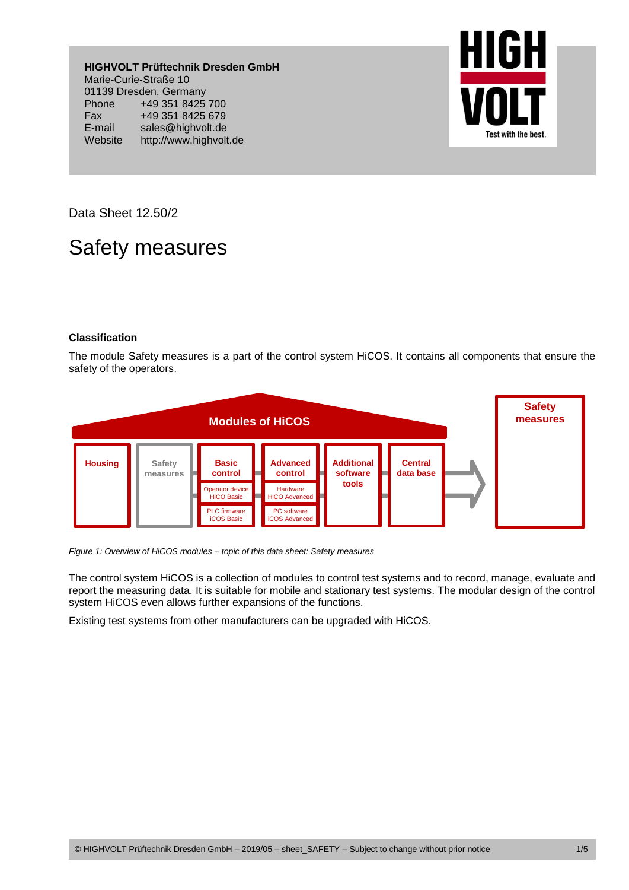**HIGHVOLT Prüftechnik Dresden GmbH** Marie-Curie-Straße 10 01139 Dresden, Germany Phone +49 351 8425 700 Fax +49 351 8425 679 E-mail sales@highvolt.de<br>Website http://www.highvolt http://www.highvolt.de



Data Sheet 12.50/2

## Safety measures

## **Classification**

The module Safety measures is a part of the control system HiCOS. It contains all components that ensure the safety of the operators.



*Figure 1: Overview of HiCOS modules – topic of this data sheet: Safety measures*

The control system HiCOS is a collection of modules to control test systems and to record, manage, evaluate and report the measuring data. It is suitable for mobile and stationary test systems. The modular design of the control system HiCOS even allows further expansions of the functions.

Existing test systems from other manufacturers can be upgraded with HiCOS.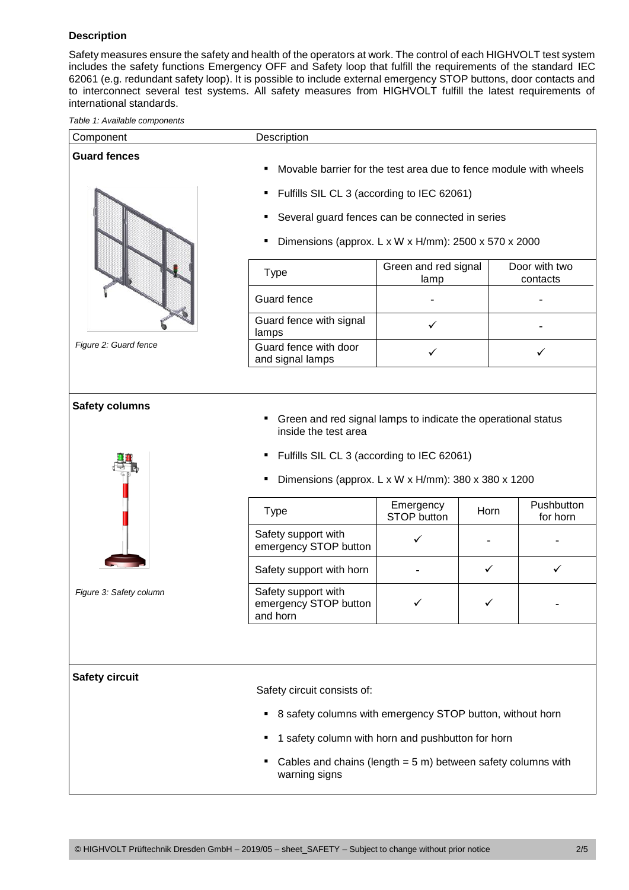## **Description**

Safety measures ensure the safety and health of the operators at work. The control of each HIGHVOLT test system includes the safety functions Emergency OFF and Safety loop that fulfill the requirements of the standard IEC 62061 (e.g. redundant safety loop). It is possible to include external emergency STOP buttons, door contacts and to interconnect several test systems. All safety measures from HIGHVOLT fulfill the latest requirements of international standards.

*Table 1: Available components*

| Component               | Description                                                                                                                                                                                                                                                                                                 |                          |      |                        |
|-------------------------|-------------------------------------------------------------------------------------------------------------------------------------------------------------------------------------------------------------------------------------------------------------------------------------------------------------|--------------------------|------|------------------------|
| <b>Guard fences</b>     | Movable barrier for the test area due to fence module with wheels<br>Fulfills SIL CL 3 (according to IEC 62061)<br>٠<br>Several guard fences can be connected in series<br>Dimensions (approx. L x W x H/mm): 2500 x 570 x 2000<br>Green and red signal<br>Door with two<br><b>Type</b><br>lamp<br>contacts |                          |      |                        |
|                         | Guard fence<br>Guard fence with signal<br>lamps                                                                                                                                                                                                                                                             | ✓                        |      |                        |
| Figure 2: Guard fence   | Guard fence with door<br>and signal lamps                                                                                                                                                                                                                                                                   | ✓                        |      |                        |
| <b>Safety columns</b>   | Green and red signal lamps to indicate the operational status<br>٠<br>inside the test area<br>Fulfills SIL CL 3 (according to IEC 62061)<br>Dimensions (approx. L x W x H/mm): 380 x 380 x 1200                                                                                                             |                          |      |                        |
|                         | <b>Type</b>                                                                                                                                                                                                                                                                                                 | Emergency<br>STOP button | Horn | Pushbutton<br>for horn |
|                         | Safety support with<br>emergency STOP button                                                                                                                                                                                                                                                                | ✓                        |      |                        |
|                         | Safety support with horn                                                                                                                                                                                                                                                                                    |                          | ✓    | ✓                      |
| Figure 3: Safety column | Safety support with<br>emergency STOP button<br>and horn                                                                                                                                                                                                                                                    |                          |      |                        |
|                         |                                                                                                                                                                                                                                                                                                             |                          |      |                        |
| <b>Safety circuit</b>   | Safety circuit consists of:<br>8 safety columns with emergency STOP button, without horn<br>٠<br>1 safety column with horn and pushbutton for horn<br>Cables and chains (length $= 5$ m) between safety columns with<br>warning signs                                                                       |                          |      |                        |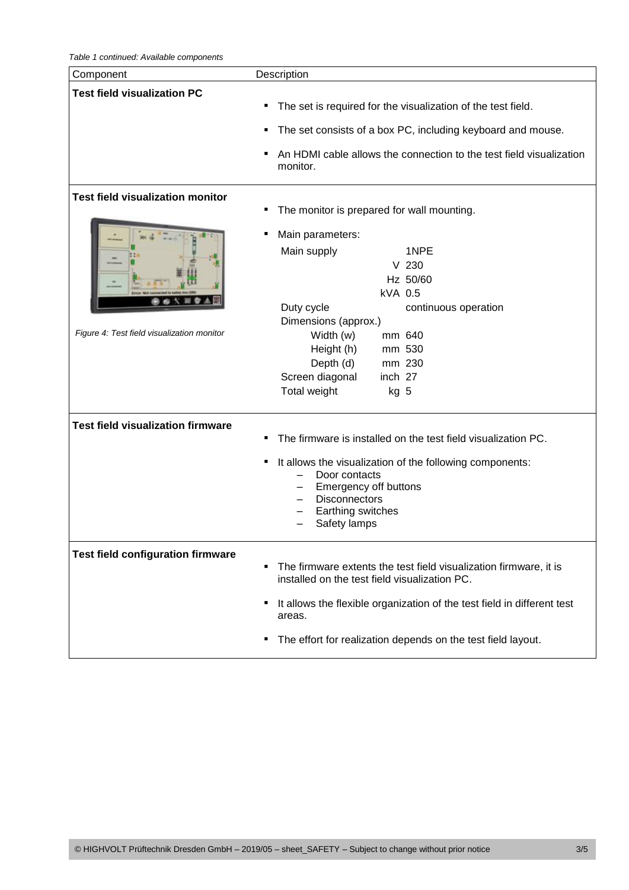| Component                                  | Description                                                                                                                                                                                                                                                                  |  |
|--------------------------------------------|------------------------------------------------------------------------------------------------------------------------------------------------------------------------------------------------------------------------------------------------------------------------------|--|
| <b>Test field visualization PC</b>         | The set is required for the visualization of the test field.<br>The set consists of a box PC, including keyboard and mouse.<br>An HDMI cable allows the connection to the test field visualization<br>monitor.                                                               |  |
| <b>Test field visualization monitor</b>    | The monitor is prepared for wall mounting.<br>Main parameters:<br>Main supply<br>1NPE<br>$V$ 230<br>Hz 50/60<br>kVA 0.5<br>Duty cycle<br>continuous operation                                                                                                                |  |
| Figure 4: Test field visualization monitor | Dimensions (approx.)<br>Width (w)<br>mm 640<br>Height (h)<br>mm 530<br>mm 230<br>Depth (d)<br>Screen diagonal<br>inch 27<br>Total weight<br>kg 5                                                                                                                             |  |
| <b>Test field visualization firmware</b>   | The firmware is installed on the test field visualization PC.<br>It allows the visualization of the following components:<br>٠<br>Door contacts<br><b>Emergency off buttons</b><br><b>Disconnectors</b><br>Earthing switches<br>Safety lamps                                 |  |
| <b>Test field configuration firmware</b>   | The firmware extents the test field visualization firmware, it is<br>п<br>installed on the test field visualization PC.<br>It allows the flexible organization of the test field in different test<br>areas.<br>The effort for realization depends on the test field layout. |  |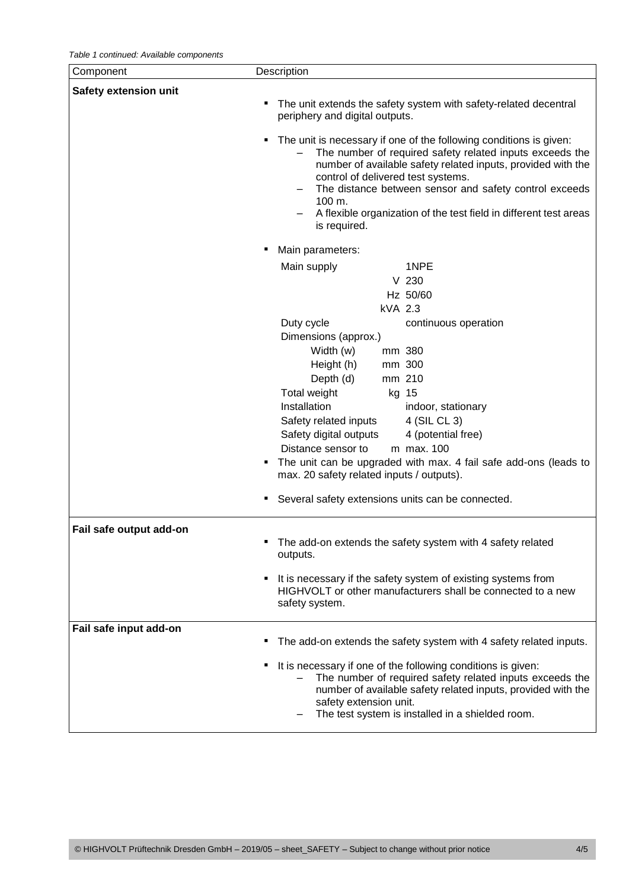| Component               | Description                                                                                                                                                                                                                                                                                                                                                                                        |  |  |
|-------------------------|----------------------------------------------------------------------------------------------------------------------------------------------------------------------------------------------------------------------------------------------------------------------------------------------------------------------------------------------------------------------------------------------------|--|--|
| Safety extension unit   | The unit extends the safety system with safety-related decentral<br>periphery and digital outputs.                                                                                                                                                                                                                                                                                                 |  |  |
|                         | The unit is necessary if one of the following conditions is given:<br>٠<br>The number of required safety related inputs exceeds the<br>number of available safety related inputs, provided with the<br>control of delivered test systems.<br>The distance between sensor and safety control exceeds<br>100 m.<br>A flexible organization of the test field in different test areas<br>is required. |  |  |
|                         | Main parameters:                                                                                                                                                                                                                                                                                                                                                                                   |  |  |
|                         | 1NPE<br>Main supply<br>$V$ 230<br>Hz 50/60<br>kVA 2.3                                                                                                                                                                                                                                                                                                                                              |  |  |
|                         | Duty cycle<br>continuous operation<br>Dimensions (approx.)<br>Width (w)<br>mm 380<br>Height (h)<br>mm 300<br>Depth (d)<br>mm 210<br>Total weight<br>kg 15                                                                                                                                                                                                                                          |  |  |
|                         | Installation<br>indoor, stationary<br>4 (SIL CL 3)<br>Safety related inputs<br>4 (potential free)<br>Safety digital outputs<br>m max. 100<br>Distance sensor to<br>The unit can be upgraded with max. 4 fail safe add-ons (leads to<br>max. 20 safety related inputs / outputs).                                                                                                                   |  |  |
|                         | Several safety extensions units can be connected.                                                                                                                                                                                                                                                                                                                                                  |  |  |
| Fail safe output add-on | The add-on extends the safety system with 4 safety related<br>outputs.                                                                                                                                                                                                                                                                                                                             |  |  |
|                         | It is necessary if the safety system of existing systems from<br>٠<br>HIGHVOLT or other manufacturers shall be connected to a new<br>safety system.                                                                                                                                                                                                                                                |  |  |
| Fail safe input add-on  | The add-on extends the safety system with 4 safety related inputs.                                                                                                                                                                                                                                                                                                                                 |  |  |
|                         | It is necessary if one of the following conditions is given:<br>The number of required safety related inputs exceeds the<br>number of available safety related inputs, provided with the<br>safety extension unit.<br>The test system is installed in a shielded room.                                                                                                                             |  |  |